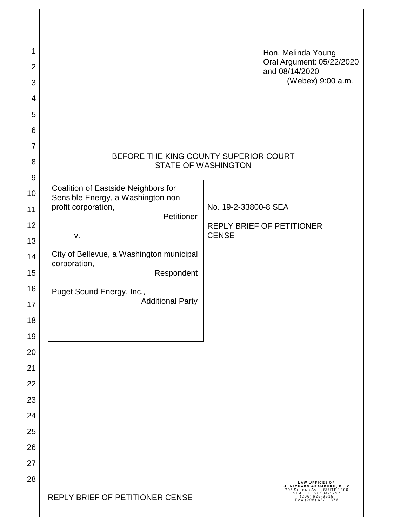| 1<br>$\overline{2}$ |                                                                          | Hon. Melinda Young<br>Oral Argument: 05/22/2020<br>and 08/14/2020                                       |
|---------------------|--------------------------------------------------------------------------|---------------------------------------------------------------------------------------------------------|
| 3                   |                                                                          | (Webex) 9:00 a.m.                                                                                       |
| 4                   |                                                                          |                                                                                                         |
| 5                   |                                                                          |                                                                                                         |
| 6                   |                                                                          |                                                                                                         |
| 7                   | BEFORE THE KING COUNTY SUPERIOR COURT                                    |                                                                                                         |
| 8                   | <b>STATE OF WASHINGTON</b>                                               |                                                                                                         |
| 9                   |                                                                          |                                                                                                         |
| 10                  | Coalition of Eastside Neighbors for<br>Sensible Energy, a Washington non |                                                                                                         |
| 11                  | profit corporation,<br>Petitioner                                        | No. 19-2-33800-8 SEA                                                                                    |
| 12                  | V.                                                                       | <b>REPLY BRIEF OF PETITIONER</b><br><b>CENSE</b>                                                        |
| 13                  |                                                                          |                                                                                                         |
| 14                  | City of Bellevue, a Washington municipal<br>corporation,                 |                                                                                                         |
| 15                  | Respondent                                                               |                                                                                                         |
| 16                  | Puget Sound Energy, Inc.,                                                |                                                                                                         |
| 17                  | <b>Additional Party</b>                                                  |                                                                                                         |
| 18                  |                                                                          |                                                                                                         |
| 19                  |                                                                          |                                                                                                         |
| 20                  |                                                                          |                                                                                                         |
| 21                  |                                                                          |                                                                                                         |
| 22                  |                                                                          |                                                                                                         |
| 23                  |                                                                          |                                                                                                         |
| 24                  |                                                                          |                                                                                                         |
| 25                  |                                                                          |                                                                                                         |
| 26                  |                                                                          |                                                                                                         |
| 27                  |                                                                          |                                                                                                         |
| 28                  |                                                                          | <b>LAW OFFICES OF</b><br>J. RICHARD ARAMBURU, PLLC<br>705 SECOND AVE., SUITE 1300<br>SEATTLE 98104-1797 |
|                     | REPLY BRIEF OF PETITIONER CENSE -                                        | $(206)$ 625-9515<br>FAX (206) 682-1376                                                                  |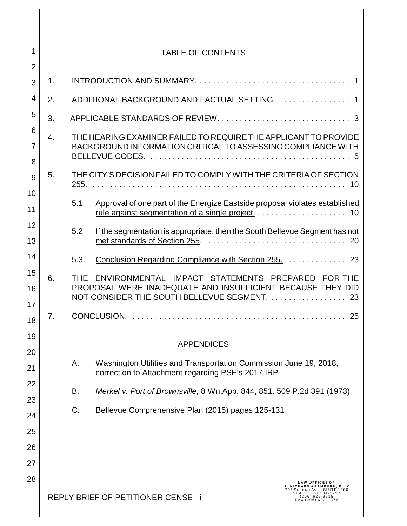| 1                        |    |      | <b>TABLE OF CONTENTS</b>                                                                                                                                      |                                                                                                                                          |
|--------------------------|----|------|---------------------------------------------------------------------------------------------------------------------------------------------------------------|------------------------------------------------------------------------------------------------------------------------------------------|
| $\overline{2}$           |    |      |                                                                                                                                                               |                                                                                                                                          |
| 3                        | 1. |      |                                                                                                                                                               |                                                                                                                                          |
| 4                        | 2. |      | ADDITIONAL BACKGROUND AND FACTUAL SETTING. 1                                                                                                                  |                                                                                                                                          |
| 5                        | 3. |      |                                                                                                                                                               |                                                                                                                                          |
| 6<br>$\overline{7}$<br>8 | 4. |      | THE HEARING EXAMINER FAILED TO REQUIRE THE APPLICANT TO PROVIDE<br>BACKGROUND INFORMATION CRITICAL TO ASSESSING COMPLIANCE WITH                               |                                                                                                                                          |
| 9                        | 5. |      | THE CITY'S DECISION FAILED TO COMPLY WITH THE CRITERIA OF SECTION                                                                                             |                                                                                                                                          |
| 10<br>11                 |    | 5.1  | Approval of one part of the Energize Eastside proposal violates established                                                                                   |                                                                                                                                          |
| 12<br>13                 |    | 5.2  | If the segmentation is appropriate, then the South Bellevue Segment has not                                                                                   |                                                                                                                                          |
| 14                       |    | 5.3. | Conclusion Regarding Compliance with Section 255.  23                                                                                                         |                                                                                                                                          |
| 15<br>16                 | 6. | THE. | ENVIRONMENTAL IMPACT STATEMENTS PREPARED FOR THE<br>PROPOSAL WERE INADEQUATE AND INSUFFICIENT BECAUSE THEY DID<br>NOT CONSIDER THE SOUTH BELLEVUE SEGMENT. 23 |                                                                                                                                          |
| 17<br>18                 | 7. |      |                                                                                                                                                               |                                                                                                                                          |
| 19                       |    |      | <b>APPENDICES</b>                                                                                                                                             |                                                                                                                                          |
| 20<br>21                 |    | А:   | Washington Utilities and Transportation Commission June 19, 2018,                                                                                             |                                                                                                                                          |
| 22                       |    |      | correction to Attachment regarding PSE's 2017 IRP                                                                                                             |                                                                                                                                          |
| 23                       |    | B:   | Merkel v. Port of Brownsville, 8 Wn.App. 844, 851. 509 P.2d 391 (1973)                                                                                        |                                                                                                                                          |
| 24                       |    | C:   | Bellevue Comprehensive Plan (2015) pages 125-131                                                                                                              |                                                                                                                                          |
| 25                       |    |      |                                                                                                                                                               |                                                                                                                                          |
| 26                       |    |      |                                                                                                                                                               |                                                                                                                                          |
| 27<br>28                 |    |      |                                                                                                                                                               |                                                                                                                                          |
|                          |    |      | REPLY BRIEF OF PETITIONER CENSE - i                                                                                                                           | LAW OFFICES OF<br>J. RICHARD ARAMBURU, PLLC<br>705 SECOND AVE., SUITE 1300<br>SEATTLE 98104-1797<br>(206) 625-9515<br>FAX (206) 682-1376 |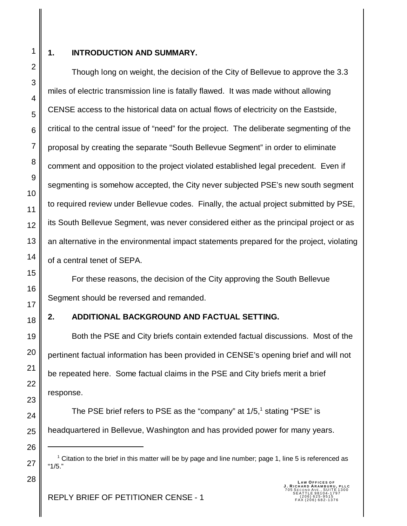6

7

8

9

10

11

12

13

14

15

16

17

18

19

20

21

22

23

24

25

26

27

28

#### **1. INTRODUCTION AND SUMMARY.**

Though long on weight, the decision of the City of Bellevue to approve the 3.3 miles of electric transmission line is fatally flawed. It was made without allowing CENSE access to the historical data on actual flows of electricity on the Eastside, critical to the central issue of "need" for the project. The deliberate segmenting of the proposal by creating the separate "South Bellevue Segment" in order to eliminate comment and opposition to the project violated established legal precedent. Even if segmenting is somehow accepted, the City never subjected PSE's new south segment to required review under Bellevue codes. Finally, the actual project submitted by PSE, its South Bellevue Segment, was never considered either as the principal project or as an alternative in the environmental impact statements prepared for the project, violating of a central tenet of SEPA.

For these reasons, the decision of the City approving the South Bellevue Segment should be reversed and remanded.

## **2. ADDITIONAL BACKGROUND AND FACTUAL SETTING.**

Both the PSE and City briefs contain extended factual discussions. Most of the pertinent factual information has been provided in CENSE's opening brief and will not be repeated here. Some factual claims in the PSE and City briefs merit a brief response.

The PSE brief refers to PSE as the "company" at  $1/5$ , stating "PSE" is headquartered in Bellevue, Washington and has provided power for many years.

<sup>1</sup> Citation to the brief in this matter will be by page and line number; page 1, line 5 is referenced as "1/5."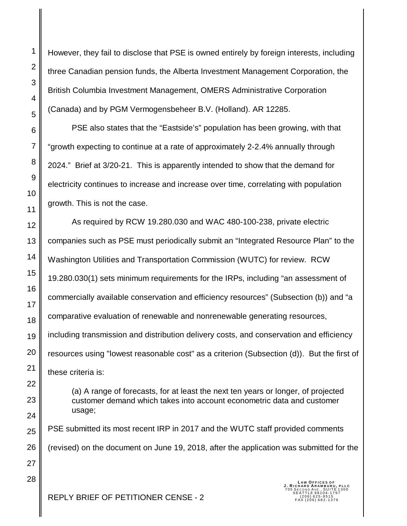However, they fail to disclose that PSE is owned entirely by foreign interests, including three Canadian pension funds, the Alberta Investment Management Corporation, the British Columbia Investment Management, OMERS Administrative Corporation (Canada) and by PGM Vermogensbeheer B.V. (Holland). AR 12285.

PSE also states that the "Eastside's" population has been growing, with that "growth expecting to continue at a rate of approximately 2-2.4% annually through 2024." Brief at 3/20-21. This is apparently intended to show that the demand for electricity continues to increase and increase over time, correlating with population growth. This is not the case.

As required by RCW 19.280.030 and WAC 480-100-238, private electric companies such as PSE must periodically submit an "Integrated Resource Plan" to the Washington Utilities and Transportation Commission (WUTC) for review. RCW 19.280.030(1) sets minimum requirements for the IRPs, including "an assessment of commercially available conservation and efficiency resources" (Subsection (b)) and "a comparative evaluation of renewable and nonrenewable generating resources, including transmission and distribution delivery costs, and conservation and efficiency resources using "lowest reasonable cost" as a criterion (Subsection (d)). But the first of these criteria is:

(a) A range of forecasts, for at least the next ten years or longer, of projected customer demand which takes into account econometric data and customer usage;

PSE submitted its most recent IRP in 2017 and the WUTC staff provided comments (revised) on the document on June 19, 2018, after the application was submitted for the

**LAW OFFICES OF<br><b>J. RICHARD ARAMBURU, PLLC**<br>705 SECOND AVE., SUITE 1300<br>SEATTLE 98104-1797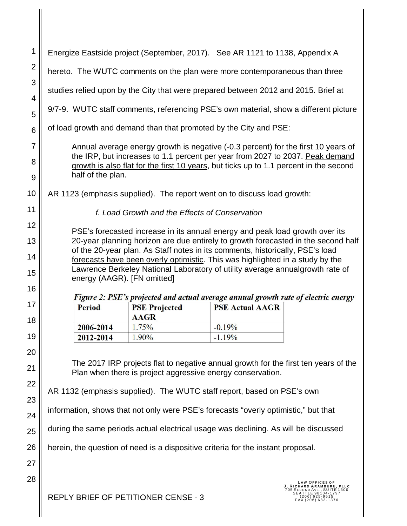| 1                   |                                                                                                                                                                    | Energize Eastside project (September, 2017). See AR 1121 to 1138, Appendix A        |                        |                                                                                                                                                                                                                                                             |
|---------------------|--------------------------------------------------------------------------------------------------------------------------------------------------------------------|-------------------------------------------------------------------------------------|------------------------|-------------------------------------------------------------------------------------------------------------------------------------------------------------------------------------------------------------------------------------------------------------|
| $\overline{2}$      |                                                                                                                                                                    |                                                                                     |                        | hereto. The WUTC comments on the plan were more contemporaneous than three                                                                                                                                                                                  |
| 3                   |                                                                                                                                                                    |                                                                                     |                        | studies relied upon by the City that were prepared between 2012 and 2015. Brief at                                                                                                                                                                          |
| 4                   |                                                                                                                                                                    |                                                                                     |                        | 9/7-9. WUTC staff comments, referencing PSE's own material, show a different picture                                                                                                                                                                        |
| 5                   |                                                                                                                                                                    |                                                                                     |                        |                                                                                                                                                                                                                                                             |
| $6\phantom{1}6$     |                                                                                                                                                                    | of load growth and demand than that promoted by the City and PSE:                   |                        |                                                                                                                                                                                                                                                             |
| $\overline{7}$<br>8 |                                                                                                                                                                    |                                                                                     |                        | Annual average energy growth is negative (-0.3 percent) for the first 10 years of<br>the IRP, but increases to 1.1 percent per year from 2027 to 2037. Peak demand<br>growth is also flat for the first 10 years, but ticks up to 1.1 percent in the second |
| 9                   | half of the plan.                                                                                                                                                  |                                                                                     |                        |                                                                                                                                                                                                                                                             |
| 10                  |                                                                                                                                                                    | AR 1123 (emphasis supplied). The report went on to discuss load growth:             |                        |                                                                                                                                                                                                                                                             |
| 11                  |                                                                                                                                                                    | f. Load Growth and the Effects of Conservation                                      |                        |                                                                                                                                                                                                                                                             |
| 12                  |                                                                                                                                                                    |                                                                                     |                        | PSE's forecasted increase in its annual energy and peak load growth over its                                                                                                                                                                                |
| 13                  | 20-year planning horizon are due entirely to growth forecasted in the second half<br>of the 20-year plan. As Staff notes in its comments, historically, PSE's load |                                                                                     |                        |                                                                                                                                                                                                                                                             |
| 14                  |                                                                                                                                                                    | forecasts have been overly optimistic. This was highlighted in a study by the       |                        |                                                                                                                                                                                                                                                             |
| 15                  |                                                                                                                                                                    | energy (AAGR). [FN omitted]                                                         |                        | Lawrence Berkeley National Laboratory of utility average annualgrowth rate of                                                                                                                                                                               |
| 16                  |                                                                                                                                                                    |                                                                                     |                        | Figure 2: PSE's projected and actual average annual growth rate of electric energy                                                                                                                                                                          |
| 17                  | <b>Period</b>                                                                                                                                                      | <b>PSE Projected</b>                                                                | <b>PSE Actual AAGR</b> |                                                                                                                                                                                                                                                             |
| 18                  |                                                                                                                                                                    | <b>AAGR</b>                                                                         |                        |                                                                                                                                                                                                                                                             |
| 19                  | 2006-2014<br>2012-2014                                                                                                                                             | 1.75%<br>1.90%                                                                      | $-0.19%$<br>$-1.19%$   |                                                                                                                                                                                                                                                             |
| 20                  |                                                                                                                                                                    |                                                                                     |                        |                                                                                                                                                                                                                                                             |
| 21                  |                                                                                                                                                                    | Plan when there is project aggressive energy conservation.                          |                        | The 2017 IRP projects flat to negative annual growth for the first ten years of the                                                                                                                                                                         |
| 22                  |                                                                                                                                                                    |                                                                                     |                        |                                                                                                                                                                                                                                                             |
| 23                  | AR 1132 (emphasis supplied). The WUTC staff report, based on PSE's own                                                                                             |                                                                                     |                        |                                                                                                                                                                                                                                                             |
| 24                  |                                                                                                                                                                    | information, shows that not only were PSE's forecasts "overly optimistic," but that |                        |                                                                                                                                                                                                                                                             |
| 25                  | during the same periods actual electrical usage was declining. As will be discussed                                                                                |                                                                                     |                        |                                                                                                                                                                                                                                                             |
| 26                  |                                                                                                                                                                    | herein, the question of need is a dispositive criteria for the instant proposal.    |                        |                                                                                                                                                                                                                                                             |
| 27                  |                                                                                                                                                                    |                                                                                     |                        |                                                                                                                                                                                                                                                             |
| 28                  |                                                                                                                                                                    | REPLY BRIEF OF PETITIONER CENSE - 3                                                 |                        | LAW OFFICES OF<br>J. RICHARD ARAMBURU, PLLC<br>ECOND AVE., SUITE 1300<br>EATTLE 98104-179<br>(206) 625-9515<br>.X (206) 682-1376                                                                                                                            |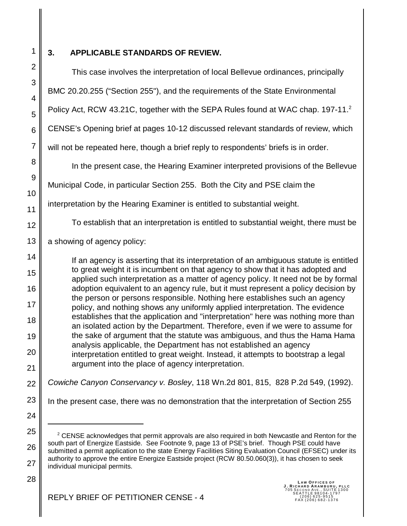28

# **3. APPLICABLE STANDARDS OF REVIEW.**

| This case involves the interpretation of local Bellevue ordinances, principally                                                                                                                                                                                                                                                                                                                                                                                                                                                                                                                                                                                                                                                                                                                                                                                                                                                                                                       |
|---------------------------------------------------------------------------------------------------------------------------------------------------------------------------------------------------------------------------------------------------------------------------------------------------------------------------------------------------------------------------------------------------------------------------------------------------------------------------------------------------------------------------------------------------------------------------------------------------------------------------------------------------------------------------------------------------------------------------------------------------------------------------------------------------------------------------------------------------------------------------------------------------------------------------------------------------------------------------------------|
| BMC 20.20.255 ("Section 255"), and the requirements of the State Environmental                                                                                                                                                                                                                                                                                                                                                                                                                                                                                                                                                                                                                                                                                                                                                                                                                                                                                                        |
| Policy Act, RCW 43.21C, together with the SEPA Rules found at WAC chap. 197-11. <sup>2</sup>                                                                                                                                                                                                                                                                                                                                                                                                                                                                                                                                                                                                                                                                                                                                                                                                                                                                                          |
| CENSE's Opening brief at pages 10-12 discussed relevant standards of review, which                                                                                                                                                                                                                                                                                                                                                                                                                                                                                                                                                                                                                                                                                                                                                                                                                                                                                                    |
| will not be repeated here, though a brief reply to respondents' briefs is in order.                                                                                                                                                                                                                                                                                                                                                                                                                                                                                                                                                                                                                                                                                                                                                                                                                                                                                                   |
| In the present case, the Hearing Examiner interpreted provisions of the Bellevue                                                                                                                                                                                                                                                                                                                                                                                                                                                                                                                                                                                                                                                                                                                                                                                                                                                                                                      |
| Municipal Code, in particular Section 255. Both the City and PSE claim the                                                                                                                                                                                                                                                                                                                                                                                                                                                                                                                                                                                                                                                                                                                                                                                                                                                                                                            |
| interpretation by the Hearing Examiner is entitled to substantial weight.                                                                                                                                                                                                                                                                                                                                                                                                                                                                                                                                                                                                                                                                                                                                                                                                                                                                                                             |
| To establish that an interpretation is entitled to substantial weight, there must be                                                                                                                                                                                                                                                                                                                                                                                                                                                                                                                                                                                                                                                                                                                                                                                                                                                                                                  |
| a showing of agency policy:                                                                                                                                                                                                                                                                                                                                                                                                                                                                                                                                                                                                                                                                                                                                                                                                                                                                                                                                                           |
| If an agency is asserting that its interpretation of an ambiguous statute is entitled<br>to great weight it is incumbent on that agency to show that it has adopted and<br>applied such interpretation as a matter of agency policy. It need not be by formal<br>adoption equivalent to an agency rule, but it must represent a policy decision by<br>the person or persons responsible. Nothing here establishes such an agency<br>policy, and nothing shows any uniformly applied interpretation. The evidence<br>establishes that the application and "interpretation" here was nothing more than<br>an isolated action by the Department. Therefore, even if we were to assume for<br>the sake of argument that the statute was ambiguous, and thus the Hama Hama<br>analysis applicable, the Department has not established an agency<br>interpretation entitled to great weight. Instead, it attempts to bootstrap a legal<br>argument into the place of agency interpretation. |
| Cowiche Canyon Conservancy v. Bosley, 118 Wn.2d 801, 815, 828 P.2d 549, (1992).                                                                                                                                                                                                                                                                                                                                                                                                                                                                                                                                                                                                                                                                                                                                                                                                                                                                                                       |
| In the present case, there was no demonstration that the interpretation of Section 255                                                                                                                                                                                                                                                                                                                                                                                                                                                                                                                                                                                                                                                                                                                                                                                                                                                                                                |
|                                                                                                                                                                                                                                                                                                                                                                                                                                                                                                                                                                                                                                                                                                                                                                                                                                                                                                                                                                                       |
| $2$ CENSE acknowledges that permit approvals are also required in both Newcastle and Renton for the<br>south part of Energize Eastside. See Footnote 9, page 13 of PSE's brief. Though PSE could have                                                                                                                                                                                                                                                                                                                                                                                                                                                                                                                                                                                                                                                                                                                                                                                 |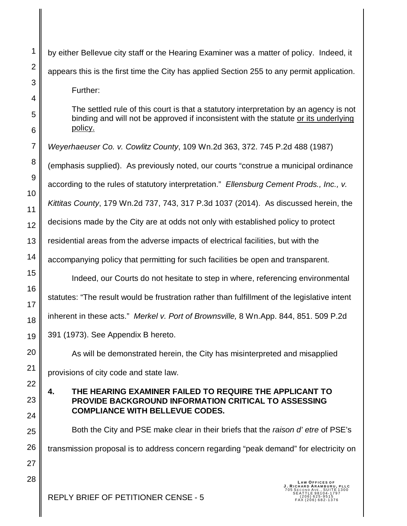by either Bellevue city staff or the Hearing Examiner was a matter of policy. Indeed, it appears this is the first time the City has applied Section 255 to any permit application. Further:

The settled rule of this court is that a statutory interpretation by an agency is not binding and will not be approved if inconsistent with the statute or its underlying policy.

*Weyerhaeuser Co. v. Cowlitz County*, 109 Wn.2d 363, 372. 745 P.2d 488 (1987)

(emphasis supplied). As previously noted, our courts "construe a municipal ordinance

according to the rules of statutory interpretation." *Ellensburg Cement Prods., Inc., v.*

*Kittitas County*, 179 Wn.2d 737, 743, 317 P.3d 1037 (2014). As discussed herein, the

decisions made by the City are at odds not only with established policy to protect

residential areas from the adverse impacts of electrical facilities, but with the

accompanying policy that permitting for such facilities be open and transparent.

Indeed, our Courts do not hesitate to step in where, referencing environmental statutes: "The result would be frustration rather than fulfillment of the legislative intent inherent in these acts." *Merkel v. Port of Brownsville,* 8 Wn.App. 844, 851. 509 P.2d 391 (1973). See Appendix B hereto.

As will be demonstrated herein, the City has misinterpreted and misapplied provisions of city code and state law.

## **4. THE HEARING EXAMINER FAILED TO REQUIRE THE APPLICANT TO PROVIDE BACKGROUND INFORMATION CRITICAL TO ASSESSING COMPLIANCE WITH BELLEVUE CODES.**

Both the City and PSE make clear in their briefs that the *raison d' etre* of PSE's transmission proposal is to address concern regarding "peak demand" for electricity on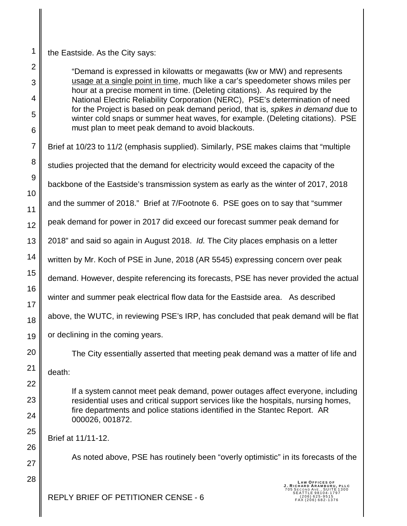the Eastside. As the City says:

"Demand is expressed in kilowatts or megawatts (kw or MW) and represents usage at a single point in time, much like a car's speedometer shows miles per hour at a precise moment in time. (Deleting citations). As required by the National Electric Reliability Corporation (NERC), PSE's determination of need for the Project is based on peak demand period, that is, *spikes in demand* due to winter cold snaps or summer heat waves, for example. (Deleting citations). PSE must plan to meet peak demand to avoid blackouts.

Brief at 10/23 to 11/2 (emphasis supplied). Similarly, PSE makes claims that "multiple

studies projected that the demand for electricity would exceed the capacity of the

backbone of the Eastside's transmission system as early as the winter of 2017, 2018

and the summer of 2018." Brief at 7/Footnote 6. PSE goes on to say that "summer

peak demand for power in 2017 did exceed our forecast summer peak demand for

2018" and said so again in August 2018. *Id.* The City places emphasis on a letter

written by Mr. Koch of PSE in June, 2018 (AR 5545) expressing concern over peak

demand. However, despite referencing its forecasts, PSE has never provided the actual

winter and summer peak electrical flow data for the Eastside area. As described

above, the WUTC, in reviewing PSE's IRP, has concluded that peak demand will be flat

or declining in the coming years.

The City essentially asserted that meeting peak demand was a matter of life and death:

If a system cannot meet peak demand, power outages affect everyone, including residential uses and critical support services like the hospitals, nursing homes, fire departments and police stations identified in the Stantec Report. AR 000026, 001872.

Brief at 11/11-12.

As noted above, PSE has routinely been "overly optimistic" in its forecasts of the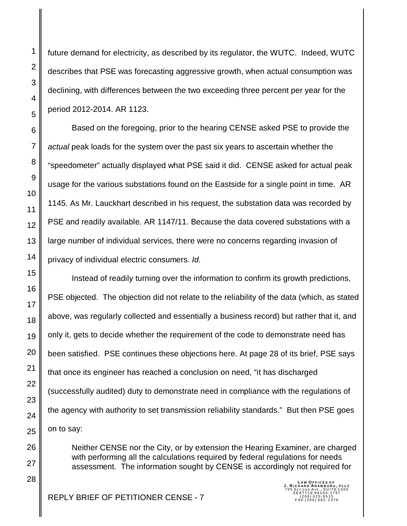future demand for electricity, as described by its regulator, the WUTC. Indeed, WUTC describes that PSE was forecasting aggressive growth, when actual consumption was declining, with differences between the two exceeding three percent per year for the period 2012-2014. AR 1123.

Based on the foregoing, prior to the hearing CENSE asked PSE to provide the *actual* peak loads for the system over the past six years to ascertain whether the "speedometer" actually displayed what PSE said it did. CENSE asked for actual peak usage for the various substations found on the Eastside for a single point in time. AR 1145. As Mr. Lauckhart described in his request, the substation data was recorded by PSE and readily available. AR 1147/11. Because the data covered substations with a large number of individual services, there were no concerns regarding invasion of privacy of individual electric consumers. *Id.*

Instead of readily turning over the information to confirm its growth predictions, PSE objected. The objection did not relate to the reliability of the data (which, as stated above, was regularly collected and essentially a business record) but rather that it, and only it, gets to decide whether the requirement of the code to demonstrate need has been satisfied. PSE continues these objections here. At page 28 of its brief, PSE says that once its engineer has reached a conclusion on need, "it has discharged (successfully audited) duty to demonstrate need in compliance with the regulations of the agency with authority to set transmission reliability standards." But then PSE goes on to say:

Neither CENSE nor the City, or by extension the Hearing Examiner, are charged with performing all the calculations required by federal regulations for needs assessment. The information sought by CENSE is accordingly not required for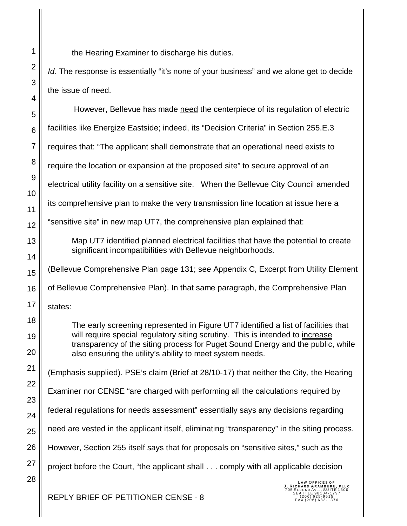the Hearing Examiner to discharge his duties.

*Id.* The response is essentially "it's none of your business" and we alone get to decide the issue of need.

| 5                       | However, Bellevue has made need the centerpiece of its regulation of electric                                                                                                                                                                                                                                       |
|-------------------------|---------------------------------------------------------------------------------------------------------------------------------------------------------------------------------------------------------------------------------------------------------------------------------------------------------------------|
| έ                       | facilities like Energize Eastside; indeed, its "Decision Criteria" in Section 255.E.3                                                                                                                                                                                                                               |
| 7                       | requires that: "The applicant shall demonstrate that an operational need exists to                                                                                                                                                                                                                                  |
| 3                       | require the location or expansion at the proposed site" to secure approval of an                                                                                                                                                                                                                                    |
|                         | electrical utility facility on a sensitive site. When the Bellevue City Council amended                                                                                                                                                                                                                             |
|                         | its comprehensive plan to make the very transmission line location at issue here a                                                                                                                                                                                                                                  |
| $\overline{\mathbf{r}}$ | "sensitive site" in new map UT7, the comprehensive plan explained that:                                                                                                                                                                                                                                             |
| 3<br>1                  | Map UT7 identified planned electrical facilities that have the potential to create<br>significant incompatibilities with Bellevue neighborhoods.                                                                                                                                                                    |
| 5                       | (Bellevue Comprehensive Plan page 131; see Appendix C, Excerpt from Utility Element                                                                                                                                                                                                                                 |
| έ                       | of Bellevue Comprehensive Plan). In that same paragraph, the Comprehensive Plan                                                                                                                                                                                                                                     |
| 7                       | states:                                                                                                                                                                                                                                                                                                             |
| 3<br>€                  | The early screening represented in Figure UT7 identified a list of facilities that<br>will require special regulatory siting scrutiny. This is intended to increase<br>transparency of the siting process for Puget Sound Energy and the public, while<br>also ensuring the utility's ability to meet system needs. |
|                         | (Emphasis supplied). PSE's claim (Brief at 28/10-17) that neither the City, the Hearing                                                                                                                                                                                                                             |
|                         | Examiner nor CENSE "are charged with performing all the calculations required by                                                                                                                                                                                                                                    |
| 3<br>1                  | federal regulations for needs assessment" essentially says any decisions regarding                                                                                                                                                                                                                                  |
| 5                       | need are vested in the applicant itself, eliminating "transparency" in the siting process.                                                                                                                                                                                                                          |
| έ                       | However, Section 255 itself says that for proposals on "sensitive sites," such as the                                                                                                                                                                                                                               |
| 7                       | project before the Court, "the applicant shall comply with all applicable decision                                                                                                                                                                                                                                  |
| 3                       | LAW OFFICES OF<br>J. RICHARD ARAMBURU, PLLC<br>ND AVF<br>ATTLE 98104-1797<br><b>REPLY BRIEF OF PETITIONER CENSE - 8</b><br>206) 625-9515<br>206)682-1376                                                                                                                                                            |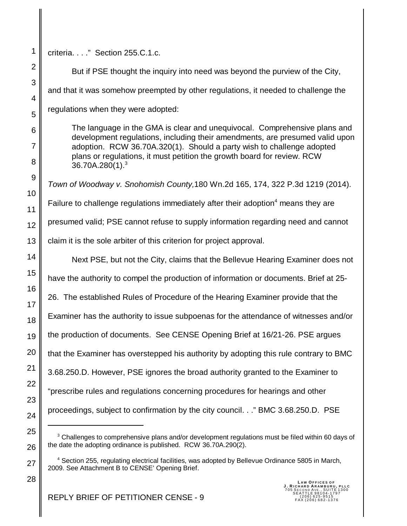criteria. . . ." Section 255.C.1.c.

But if PSE thought the inquiry into need was beyond the purview of the City, and that it was somehow preempted by other regulations, it needed to challenge the regulations when they were adopted:

The language in the GMA is clear and unequivocal. Comprehensive plans and development regulations, including their amendments, are presumed valid upon adoption. RCW 36.70A.320(1). Should a party wish to challenge adopted plans or regulations, it must petition the growth board for review. RCW  $36.70A.280(1).<sup>3</sup>$ 

*Town of Woodway v. Snohomish County,*180 Wn.2d 165, 174, 322 P.3d 1219 (2014). Failure to challenge regulations immediately after their adoption<sup>4</sup> means they are presumed valid; PSE cannot refuse to supply information regarding need and cannot claim it is the sole arbiter of this criterion for project approval.

Next PSE, but not the City, claims that the Bellevue Hearing Examiner does not have the authority to compel the production of information or documents. Brief at 25- 26. The established Rules of Procedure of the Hearing Examiner provide that the Examiner has the authority to issue subpoenas for the attendance of witnesses and/or the production of documents. See CENSE Opening Brief at 16/21-26. PSE argues that the Examiner has overstepped his authority by adopting this rule contrary to BMC 3.68.250.D. However, PSE ignores the broad authority granted to the Examiner to "prescribe rules and regulations concerning procedures for hearings and other proceedings, subject to confirmation by the city council. . ." BMC 3.68.250.D. PSE

 $3$  Challenges to comprehensive plans and/or development regulations must be filed within 60 days of the date the adopting ordinance is published. RCW 36.70A.290(2).

<sup>&</sup>lt;sup>4</sup> Section 255, regulating electrical facilities, was adopted by Bellevue Ordinance 5805 in March, 2009. See Attachment B to CENSE' Opening Brief.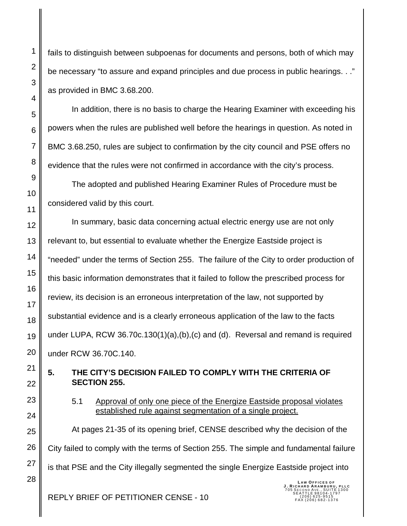1

2

3

fails to distinguish between subpoenas for documents and persons, both of which may be necessary "to assure and expand principles and due process in public hearings. . ." as provided in BMC 3.68.200.

In addition, there is no basis to charge the Hearing Examiner with exceeding his powers when the rules are published well before the hearings in question. As noted in BMC 3.68.250, rules are subject to confirmation by the city council and PSE offers no evidence that the rules were not confirmed in accordance with the city's process.

The adopted and published Hearing Examiner Rules of Procedure must be considered valid by this court.

In summary, basic data concerning actual electric energy use are not only relevant to, but essential to evaluate whether the Energize Eastside project is "needed" under the terms of Section 255. The failure of the City to order production of this basic information demonstrates that it failed to follow the prescribed process for review, its decision is an erroneous interpretation of the law, not supported by substantial evidence and is a clearly erroneous application of the law to the facts under LUPA, RCW 36.70c.130(1)(a),(b),(c) and (d). Reversal and remand is required under RCW 36.70C.140.

**5. THE CITY'S DECISION FAILED TO COMPLY WITH THE CRITERIA OF SECTION 255.**

5.1 Approval of only one piece of the Energize Eastside proposal violates established rule against segmentation of a single project.

At pages 21-35 of its opening brief, CENSE described why the decision of the City failed to comply with the terms of Section 255. The simple and fundamental failure is that PSE and the City illegally segmented the single Energize Eastside project into **LAW OFFICES OF<br><b>J. RICHARD ARAMBURU, PLLC**<br>705 SECOND AVE., SUITE 1300<br>SEATTLE 98104-1797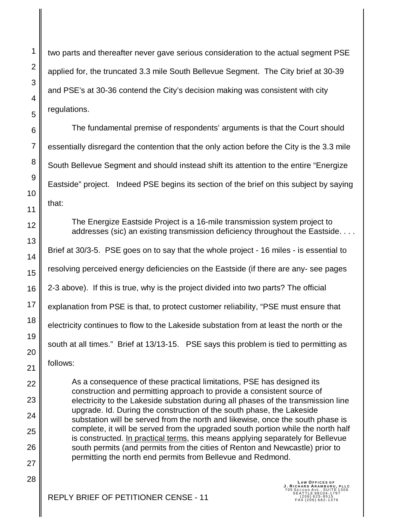two parts and thereafter never gave serious consideration to the actual segment PSE applied for, the truncated 3.3 mile South Bellevue Segment. The City brief at 30-39 and PSE's at 30-36 contend the City's decision making was consistent with city regulations.

The fundamental premise of respondents' arguments is that the Court should essentially disregard the contention that the only action before the City is the 3.3 mile South Bellevue Segment and should instead shift its attention to the entire "Energize Eastside" project. Indeed PSE begins its section of the brief on this subject by saying that:

The Energize Eastside Project is a 16-mile transmission system project to addresses (sic) an existing transmission deficiency throughout the Eastside. . . . Brief at 30/3-5. PSE goes on to say that the whole project - 16 miles - is essential to resolving perceived energy deficiencies on the Eastside (if there are any- see pages 2-3 above). If this is true, why is the project divided into two parts? The official explanation from PSE is that, to protect customer reliability, "PSE must ensure that electricity continues to flow to the Lakeside substation from at least the north or the south at all times." Brief at 13/13-15. PSE says this problem is tied to permitting as follows:

As a consequence of these practical limitations, PSE has designed its construction and permitting approach to provide a consistent source of electricity to the Lakeside substation during all phases of the transmission line upgrade. Id. During the construction of the south phase, the Lakeside substation will be served from the north and likewise, once the south phase is complete, it will be served from the upgraded south portion while the north half is constructed. In practical terms, this means applying separately for Bellevue south permits (and permits from the cities of Renton and Newcastle) prior to permitting the north end permits from Bellevue and Redmond.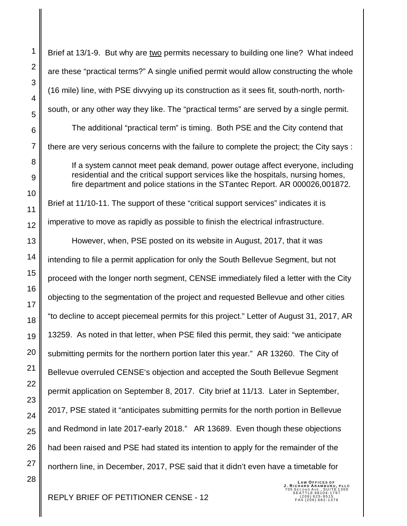Brief at 13/1-9. But why are two permits necessary to building one line? What indeed are these "practical terms?" A single unified permit would allow constructing the whole (16 mile) line, with PSE divvying up its construction as it sees fit, south-north, northsouth, or any other way they like. The "practical terms" are served by a single permit. The additional "practical term" is timing. Both PSE and the City contend that there are very serious concerns with the failure to complete the project; the City says : If a system cannot meet peak demand, power outage affect everyone, including residential and the critical support services like the hospitals, nursing homes, fire department and police stations in the STantec Report. AR 000026,001872. Brief at 11/10-11. The support of these "critical support services" indicates it is imperative to move as rapidly as possible to finish the electrical infrastructure. However, when, PSE posted on its website in August, 2017, that it was intending to file a permit application for only the South Bellevue Segment, but not proceed with the longer north segment, CENSE immediately filed a letter with the City objecting to the segmentation of the project and requested Bellevue and other cities "to decline to accept piecemeal permits for this project." Letter of August 31, 2017, AR 13259. As noted in that letter, when PSE filed this permit, they said: "we anticipate submitting permits for the northern portion later this year." AR 13260. The City of Bellevue overruled CENSE's objection and accepted the South Bellevue Segment permit application on September 8, 2017. City brief at 11/13. Later in September, 2017, PSE stated it "anticipates submitting permits for the north portion in Bellevue and Redmond in late 2017-early 2018." AR 13689. Even though these objections had been raised and PSE had stated its intention to apply for the remainder of the northern line, in December, 2017, PSE said that it didn't even have a timetable for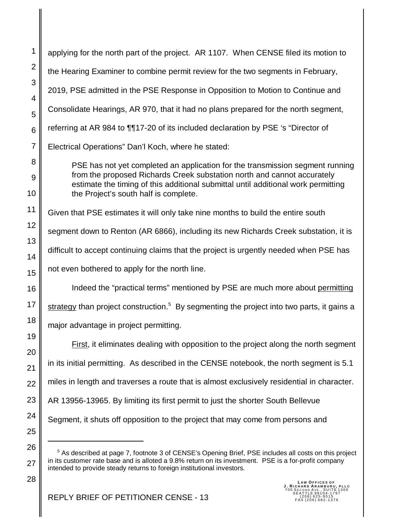1 2 3 4 5 6 7 8 9 10 11 12 13 14 15 16 17 18 19 20 21 22 23 24 25 26 applying for the north part of the project. AR 1107. When CENSE filed its motion to the Hearing Examiner to combine permit review for the two segments in February, 2019, PSE admitted in the PSE Response in Opposition to Motion to Continue and Consolidate Hearings, AR 970, that it had no plans prepared for the north segment, referring at AR 984 to ¶¶17-20 of its included declaration by PSE 's "Director of Electrical Operations" Dan'l Koch, where he stated: PSE has not yet completed an application for the transmission segment running from the proposed Richards Creek substation north and cannot accurately estimate the timing of this additional submittal until additional work permitting the Project's south half is complete. Given that PSE estimates it will only take nine months to build the entire south segment down to Renton (AR 6866), including its new Richards Creek substation, it is difficult to accept continuing claims that the project is urgently needed when PSE has not even bothered to apply for the north line. Indeed the "practical terms" mentioned by PSE are much more about permitting strategy than project construction.<sup>5</sup> By segmenting the project into two parts, it gains a major advantage in project permitting. First, it eliminates dealing with opposition to the project along the north segment in its initial permitting. As described in the CENSE notebook, the north segment is 5.1 miles in length and traverses a route that is almost exclusively residential in character. AR 13956-13965. By limiting its first permit to just the shorter South Bellevue Segment, it shuts off opposition to the project that may come from persons and <sup>5</sup> As described at page 7, footnote 3 of CENSE's Opening Brief, PSE includes all costs on this project

27

28

in its customer rate base and is alloted a 9.8% return on its investment. PSE is a for-profit company intended to provide steady returns to foreign institutional investors.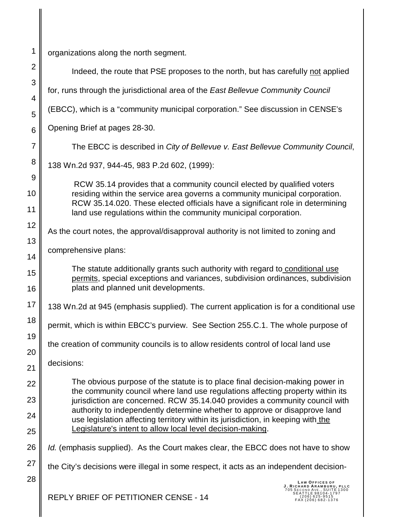1 2 3 4 5 6 7 8 9 10 11 12 13 14 15 16 17 18 19 20 21 22 23 24 25 26 27 28 organizations along the north segment. Indeed, the route that PSE proposes to the north, but has carefully not applied for, runs through the jurisdictional area of the *East Bellevue Community Council* (EBCC), which is a "community municipal corporation." See discussion in CENSE's Opening Brief at pages 28-30. The EBCC is described in *City of Bellevue v. East Bellevue Community Council*, 138 Wn.2d 937, 944-45, 983 P.2d 602, (1999): RCW 35.14 provides that a community council elected by qualified voters residing within the service area governs a community municipal corporation. RCW 35.14.020. These elected officials have a significant role in determining land use regulations within the community municipal corporation. As the court notes, the approval/disapproval authority is not limited to zoning and comprehensive plans: The statute additionally grants such authority with regard to conditional use permits, special exceptions and variances, subdivision ordinances, subdivision plats and planned unit developments. 138 Wn.2d at 945 (emphasis supplied). The current application is for a conditional use permit, which is within EBCC's purview. See Section 255.C.1. The whole purpose of the creation of community councils is to allow residents control of local land use decisions: The obvious purpose of the statute is to place final decision-making power in the community council where land use regulations affecting property within its jurisdiction are concerned. RCW 35.14.040 provides a community council with authority to independently determine whether to approve or disapprove land use legislation affecting territory within its jurisdiction, in keeping with the Legislature's intent to allow local level decision-making. *Id.* (emphasis supplied). As the Court makes clear, the EBCC does not have to show the City's decisions were illegal in some respect, it acts as an independent decision-**LAW OFFICES OF<br><b>J. RICHARD ARAMBURU, PLLC**<br>705 SECOND AVE., SUITE 1300<br>SEATTLE 98104-1797 REPLY BRIEF OF PETITIONER CENSE - 14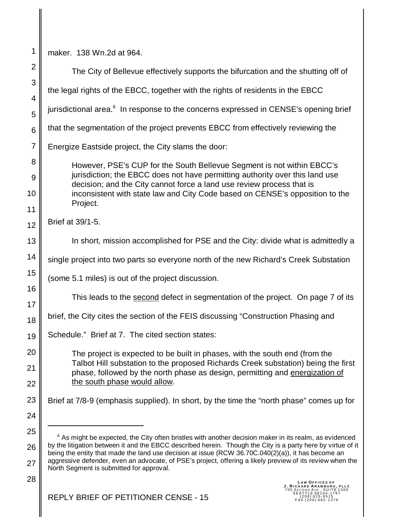maker. 138 Wn.2d at 964.

| $\overline{2}$ | The City of Bellevue effectively supports the bifurcation and the shutting off of                                                                                                                                    |
|----------------|----------------------------------------------------------------------------------------------------------------------------------------------------------------------------------------------------------------------|
| 3              | the legal rights of the EBCC, together with the rights of residents in the EBCC                                                                                                                                      |
| $\overline{4}$ | jurisdictional area. <sup>6</sup> In response to the concerns expressed in CENSE's opening brief                                                                                                                     |
| 5<br>6         | that the segmentation of the project prevents EBCC from effectively reviewing the                                                                                                                                    |
|                |                                                                                                                                                                                                                      |
| $\overline{7}$ | Energize Eastside project, the City slams the door:                                                                                                                                                                  |
| 8              | However, PSE's CUP for the South Bellevue Segment is not within EBCC's<br>jurisdiction; the EBCC does not have permitting authority over this land use                                                               |
| 9              | decision; and the City cannot force a land use review process that is                                                                                                                                                |
| 10<br>11       | inconsistent with state law and City Code based on CENSE's opposition to the<br>Project.                                                                                                                             |
| 12             | Brief at 39/1-5.                                                                                                                                                                                                     |
| 13             | In short, mission accomplished for PSE and the City: divide what is admittedly a                                                                                                                                     |
|                |                                                                                                                                                                                                                      |
| 14             | single project into two parts so everyone north of the new Richard's Creek Substation                                                                                                                                |
| 15             | (some 5.1 miles) is out of the project discussion.                                                                                                                                                                   |
| 16<br>17       | This leads to the second defect in segmentation of the project. On page 7 of its                                                                                                                                     |
| 18             | brief, the City cites the section of the FEIS discussing "Construction Phasing and                                                                                                                                   |
| 19             | Schedule." Brief at 7. The cited section states:                                                                                                                                                                     |
| 20             | The project is expected to be built in phases, with the south end (from the                                                                                                                                          |
| 21             | Talbot Hill substation to the proposed Richards Creek substation) being the first<br>phase, followed by the north phase as design, permitting and energization of                                                    |
| 22             | the south phase would allow.                                                                                                                                                                                         |
| 23             | Brief at 7/8-9 (emphasis supplied). In short, by the time the "north phase" comes up for                                                                                                                             |
| 24             |                                                                                                                                                                                                                      |
| 25             | <sup>6</sup> As might be expected, the City often bristles with another decision maker in its realm, as evidenced                                                                                                    |
| 26             | by the litigation between it and the EBCC described herein. Though the City is a party here by virtue of it<br>being the entity that made the land use decision at issue (RCW $36.70C.040(2)(a)$ ), it has become an |
| 27             | aggressive defender, even an advocate, of PSE's project, offering a likely preview of its review when the<br>North Segment is submitted for approval.                                                                |
| 28             | LAW OFFICES OF<br>J. RICHARD ARAMBURU, PLLC<br>5 SECOND AVE., SUITE 1300<br>SEATTLE 98104-1797                                                                                                                       |

1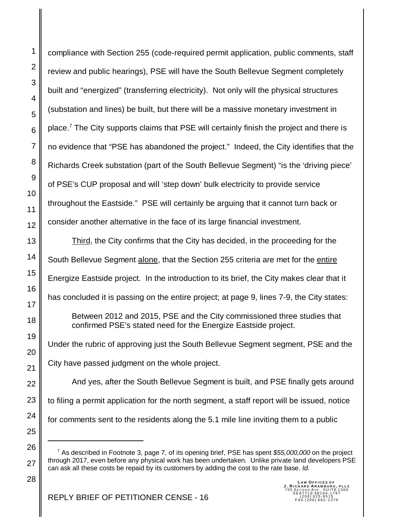compliance with Section 255 (code-required permit application, public comments, staff review and public hearings), PSE will have the South Bellevue Segment completely built and "energized" (transferring electricity). Not only will the physical structures (substation and lines) be built, but there will be a massive monetary investment in place.<sup>7</sup> The City supports claims that PSE will certainly finish the project and there is no evidence that "PSE has abandoned the project." Indeed, the City identifies that the Richards Creek substation (part of the South Bellevue Segment) "is the 'driving piece' of PSE's CUP proposal and will 'step down' bulk electricity to provide service throughout the Eastside." PSE will certainly be arguing that it cannot turn back or consider another alternative in the face of its large financial investment.

Third, the City confirms that the City has decided, in the proceeding for the South Bellevue Segment alone, that the Section 255 criteria are met for the entire Energize Eastside project. In the introduction to its brief, the City makes clear that it has concluded it is passing on the entire project; at page 9, lines 7-9, the City states:

Between 2012 and 2015, PSE and the City commissioned three studies that confirmed PSE's stated need for the Energize Eastside project.

Under the rubric of approving just the South Bellevue Segment segment, PSE and the City have passed judgment on the whole project.

And yes, after the South Bellevue Segment is built, and PSE finally gets around to filing a permit application for the north segment, a staff report will be issued, notice for comments sent to the residents along the 5.1 mile line inviting them to a public

<sup>7</sup> As described in Footnote 3, page 7, of its opening brief, PSE has spent *\$55,000,000* on the project through 2017, even before any physical work has been undertaken. Unlike private land developers PSE can ask all these costs be repaid by its customers by adding the cost to the rate base. *Id.*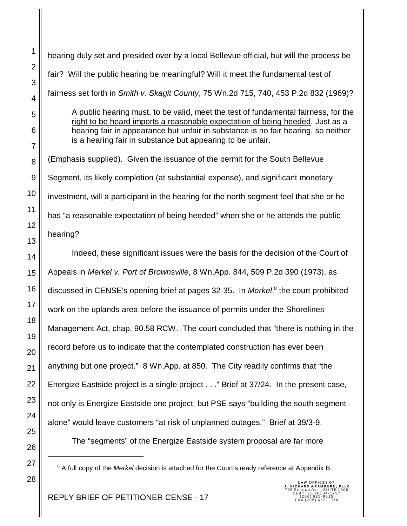hearing duly set and presided over by a local Bellevue official, but will the process be fair? Will the public hearing be meaningful? Will it meet the fundamental test of fairness set forth in *Smith v. Skagit County*, 75 Wn.2d 715, 740, 453 P.2d 832 (1969)? A public hearing must, to be valid, meet the test of fundamental fairness, for the right to be heard imports a reasonable expectation of being heeded. Just as a

hearing fair in appearance but unfair in substance is no fair hearing, so neither is a hearing fair in substance but appearing to be unfair. (Emphasis supplied). Given the issuance of the permit for the South Bellevue Segment, its likely completion (at substantial expense), and significant monetary investment, will a participant in the hearing for the north segment feel that she or he

has "a reasonable expectation of being heeded" when she or he attends the public hearing?

Indeed, these significant issues were the basis for the decision of the Court of Appeals in *Merkel v. Port of Brownsville*, 8 Wn.App. 844, 509 P.2d 390 (1973), as discussed in CENSE's opening brief at pages 32-35. In *Merkel*, 8 the court prohibited work on the uplands area before the issuance of permits under the Shorelines Management Act, chap. 90.58 RCW. The court concluded that "there is nothing in the record before us to indicate that the contemplated construction has ever been anything but one project." 8 Wn.App. at 850. The City readily confirms that "the Energize Eastside project is a single project . . ." Brief at 37/24. In the present case, not only is Energize Eastside one project, but PSE says "building the south segment alone" would leave customers "at risk of unplanned outages." Brief at 39/3-9.

The "segments" of the Energize Eastside system proposal are far more

<sup>8</sup> A full copy of the *Merkel* decision is attached for the Court's ready reference at Appendix B.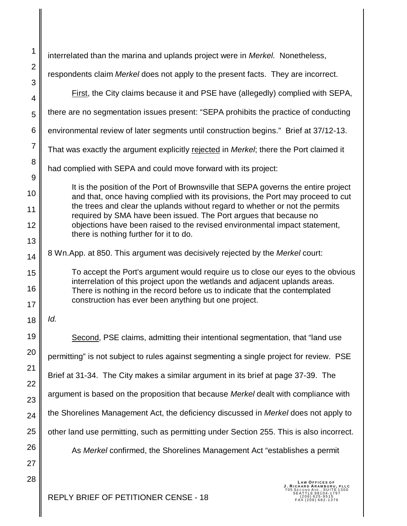| interrelated than the marina and uplands project were in Merkel. Nonetheless,                                                                                         |
|-----------------------------------------------------------------------------------------------------------------------------------------------------------------------|
| respondents claim Merkel does not apply to the present facts. They are incorrect.                                                                                     |
| First, the City claims because it and PSE have (allegedly) complied with SEPA,                                                                                        |
| there are no segmentation issues present: "SEPA prohibits the practice of conducting                                                                                  |
| environmental review of later segments until construction begins." Brief at 37/12-13.                                                                                 |
| That was exactly the argument explicitly rejected in Merkel; there the Port claimed it                                                                                |
| had complied with SEPA and could move forward with its project:                                                                                                       |
|                                                                                                                                                                       |
| It is the position of the Port of Brownsville that SEPA governs the entire project<br>and that, once having complied with its provisions, the Port may proceed to cut |
| the trees and clear the uplands without regard to whether or not the permits<br>required by SMA have been issued. The Port argues that because no                     |
| objections have been raised to the revised environmental impact statement,<br>there is nothing further for it to do.                                                  |
|                                                                                                                                                                       |
| 8 Wn. App. at 850. This argument was decisively rejected by the Merkel court:                                                                                         |
| To accept the Port's argument would require us to close our eyes to the obvious<br>interrelation of this project upon the wetlands and adjacent uplands areas.        |
| There is nothing in the record before us to indicate that the contemplated<br>construction has ever been anything but one project.                                    |
| ld.                                                                                                                                                                   |
| Second, PSE claims, admitting their intentional segmentation, that "land use                                                                                          |
| permitting" is not subject to rules against segmenting a single project for review. PSE                                                                               |
| Brief at 31-34. The City makes a similar argument in its brief at page 37-39. The                                                                                     |
|                                                                                                                                                                       |
| argument is based on the proposition that because Merkel dealt with compliance with                                                                                   |
| the Shorelines Management Act, the deficiency discussed in Merkel does not apply to                                                                                   |
| other land use permitting, such as permitting under Section 255. This is also incorrect.                                                                              |
| As Merkel confirmed, the Shorelines Management Act "establishes a permit                                                                                              |
|                                                                                                                                                                       |
| <b>LAW OFFICES OF</b><br>J. RICHARD ARAMBURU, PLLC<br>705 SECOND AVE., SUITE 1300                                                                                     |
|                                                                                                                                                                       |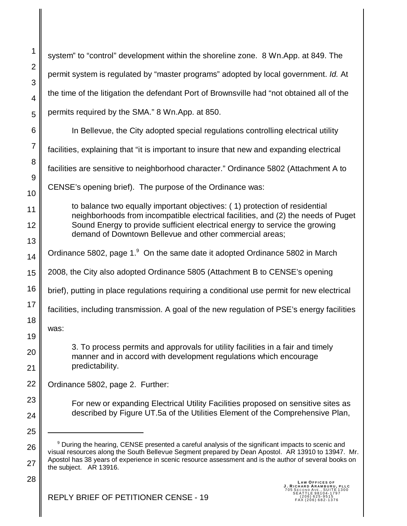| 1                   | system" to "control" development within the shoreline zone. 8 Wn.App. at 849. The                                                                                                                                                                                                                                                                      |
|---------------------|--------------------------------------------------------------------------------------------------------------------------------------------------------------------------------------------------------------------------------------------------------------------------------------------------------------------------------------------------------|
| $\mathbf{2}$<br>3   | permit system is regulated by "master programs" adopted by local government. Id. At                                                                                                                                                                                                                                                                    |
| 4                   | the time of the litigation the defendant Port of Brownsville had "not obtained all of the                                                                                                                                                                                                                                                              |
| 5                   | permits required by the SMA." 8 Wn.App. at 850.                                                                                                                                                                                                                                                                                                        |
| 6                   | In Bellevue, the City adopted special regulations controlling electrical utility                                                                                                                                                                                                                                                                       |
| $\overline{7}$      | facilities, explaining that "it is important to insure that new and expanding electrical                                                                                                                                                                                                                                                               |
| 8<br>$\overline{9}$ | facilities are sensitive to neighborhood character." Ordinance 5802 (Attachment A to                                                                                                                                                                                                                                                                   |
| 10                  | CENSE's opening brief). The purpose of the Ordinance was:                                                                                                                                                                                                                                                                                              |
| 11                  | to balance two equally important objectives: (1) protection of residential<br>neighborhoods from incompatible electrical facilities, and (2) the needs of Puget                                                                                                                                                                                        |
| 12                  | Sound Energy to provide sufficient electrical energy to service the growing<br>demand of Downtown Bellevue and other commercial areas;                                                                                                                                                                                                                 |
| 13                  |                                                                                                                                                                                                                                                                                                                                                        |
| 14                  | Ordinance 5802, page 1. <sup>9</sup> On the same date it adopted Ordinance 5802 in March                                                                                                                                                                                                                                                               |
| 15                  | 2008, the City also adopted Ordinance 5805 (Attachment B to CENSE's opening                                                                                                                                                                                                                                                                            |
| 16                  | brief), putting in place regulations requiring a conditional use permit for new electrical                                                                                                                                                                                                                                                             |
| 17                  | facilities, including transmission. A goal of the new regulation of PSE's energy facilities                                                                                                                                                                                                                                                            |
| 18<br>19            | was:                                                                                                                                                                                                                                                                                                                                                   |
| 20                  | 3. To process permits and approvals for utility facilities in a fair and timely                                                                                                                                                                                                                                                                        |
| 21                  | manner and in accord with development regulations which encourage<br>predictability.                                                                                                                                                                                                                                                                   |
| 22                  | Ordinance 5802, page 2. Further:                                                                                                                                                                                                                                                                                                                       |
| 23                  | For new or expanding Electrical Utility Facilities proposed on sensitive sites as                                                                                                                                                                                                                                                                      |
| 24                  | described by Figure UT.5a of the Utilities Element of the Comprehensive Plan,                                                                                                                                                                                                                                                                          |
| 25                  |                                                                                                                                                                                                                                                                                                                                                        |
| 26<br>27            | <sup>9</sup> During the hearing, CENSE presented a careful analysis of the significant impacts to scenic and<br>visual resources along the South Bellevue Segment prepared by Dean Apostol. AR 13910 to 13947. Mr.<br>Apostol has 38 years of experience in scenic resource assessment and is the author of several books on<br>the subject. AR 13916. |
| 28                  | <b>LAW OFFICES OF</b><br>. RICHARD ARAMBURU<br>SECOND AVE., SUITE 1300                                                                                                                                                                                                                                                                                 |
|                     |                                                                                                                                                                                                                                                                                                                                                        |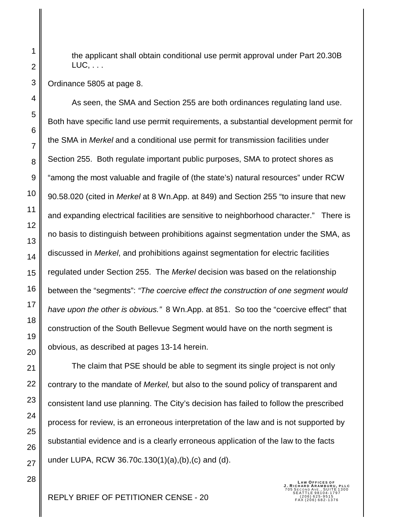the applicant shall obtain conditional use permit approval under Part 20.30B LUC, . . .

Ordinance 5805 at page 8.

As seen, the SMA and Section 255 are both ordinances regulating land use. Both have specific land use permit requirements, a substantial development permit for the SMA in *Merkel* and a conditional use permit for transmission facilities under Section 255. Both regulate important public purposes, SMA to protect shores as "among the most valuable and fragile of (the state's) natural resources" under RCW 90.58.020 (cited in *Merkel* at 8 Wn.App. at 849) and Section 255 "to insure that new and expanding electrical facilities are sensitive to neighborhood character." There is no basis to distinguish between prohibitions against segmentation under the SMA, as discussed in *Merkel*, and prohibitions against segmentation for electric facilities regulated under Section 255. The *Merkel* decision was based on the relationship between the "segments": *"The coercive effect the construction of one segment would have upon the other is obvious."* 8 Wn.App. at 851. So too the "coercive effect" that construction of the South Bellevue Segment would have on the north segment is obvious, as described at pages 13-14 herein.

The claim that PSE should be able to segment its single project is not only contrary to the mandate of *Merkel,* but also to the sound policy of transparent and consistent land use planning. The City's decision has failed to follow the prescribed process for review, is an erroneous interpretation of the law and is not supported by substantial evidence and is a clearly erroneous application of the law to the facts under LUPA, RCW 36.70c.130(1)(a),(b),(c) and (d).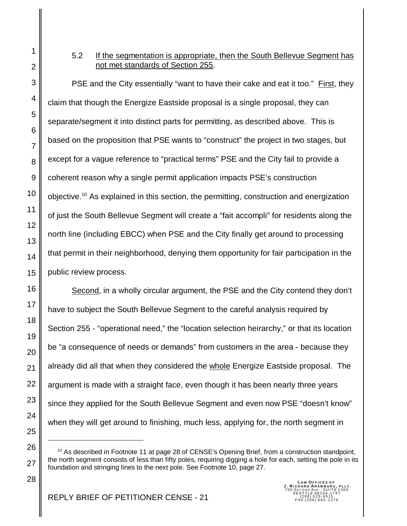## 5.2 If the segmentation is appropriate, then the South Bellevue Segment has not met standards of Section 255.

PSE and the City essentially "want to have their cake and eat it too." First, they claim that though the Energize Eastside proposal is a single proposal, they can separate/segment it into distinct parts for permitting, as described above. This is based on the proposition that PSE wants to "construct" the project in two stages, but except for a vague reference to "practical terms" PSE and the City fail to provide a coherent reason why a single permit application impacts PSE's construction objective.<sup>10</sup> As explained in this section, the permitting, construction and energization of just the South Bellevue Segment will create a "fait accompli" for residents along the north line (including EBCC) when PSE and the City finally get around to processing that permit in their neighborhood, denying them opportunity for fair participation in the public review process.

Second, in a wholly circular argument, the PSE and the City contend they don't have to subject the South Bellevue Segment to the careful analysis required by Section 255 - "operational need," the "location selection heirarchy," or that its location be "a consequence of needs or demands" from customers in the area - because they already did all that when they considered the whole Energize Eastside proposal. The argument is made with a straight face, even though it has been nearly three years since they applied for the South Bellevue Segment and even now PSE "doesn't know" when they will get around to finishing, much less, applying for, the north segment in

 $10$  As described in Footnote 11 at page 28 of CENSE's Opening Brief, from a construction standpoint, the north segment consists of less than fifty poles, requiring digging a hole for each, setting the pole in its foundation and stringing lines to the next pole. See Footnote 10, page 27.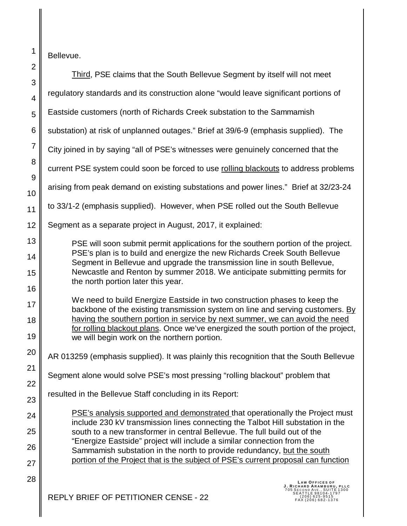Bellevue.

1

| $\overline{2}$          |                                                                                                                                                                            |
|-------------------------|----------------------------------------------------------------------------------------------------------------------------------------------------------------------------|
| 3                       | Third, PSE claims that the South Bellevue Segment by itself will not meet                                                                                                  |
| $\overline{\mathbf{4}}$ | regulatory standards and its construction alone "would leave significant portions of                                                                                       |
| 5                       | Eastside customers (north of Richards Creek substation to the Sammamish                                                                                                    |
| 6                       | substation) at risk of unplanned outages." Brief at 39/6-9 (emphasis supplied). The                                                                                        |
| $\overline{7}$          | City joined in by saying "all of PSE's witnesses were genuinely concerned that the                                                                                         |
| 8<br>9                  | current PSE system could soon be forced to use rolling blackouts to address problems                                                                                       |
| 10                      | arising from peak demand on existing substations and power lines." Brief at 32/23-24                                                                                       |
| 11                      | to 33/1-2 (emphasis supplied). However, when PSE rolled out the South Bellevue                                                                                             |
| 12                      | Segment as a separate project in August, 2017, it explained:                                                                                                               |
| 13                      | PSE will soon submit permit applications for the southern portion of the project.                                                                                          |
| 14                      | PSE's plan is to build and energize the new Richards Creek South Bellevue<br>Segment in Bellevue and upgrade the transmission line in south Bellevue,                      |
| 15                      | Newcastle and Renton by summer 2018. We anticipate submitting permits for<br>the north portion later this year.                                                            |
| 16                      | We need to build Energize Eastside in two construction phases to keep the                                                                                                  |
| 17<br>18                | backbone of the existing transmission system on line and serving customers. By<br>having the southern portion in service by next summer, we can avoid the need             |
| 19                      | for rolling blackout plans. Once we've energized the south portion of the project,<br>we will begin work on the northern portion.                                          |
| 20                      | AR 013259 (emphasis supplied). It was plainly this recognition that the South Bellevue                                                                                     |
| 21                      | Segment alone would solve PSE's most pressing "rolling blackout" problem that                                                                                              |
| 22                      | resulted in the Bellevue Staff concluding in its Report:                                                                                                                   |
| 23                      |                                                                                                                                                                            |
| 24                      | PSE's analysis supported and demonstrated that operationally the Project must<br>include 230 kV transmission lines connecting the Talbot Hill substation in the            |
| 25                      | south to a new transformer in central Bellevue. The full build out of the<br>"Energize Eastside" project will include a similar connection from the                        |
| 26                      | Sammamish substation in the north to provide redundancy, but the south                                                                                                     |
| 27                      | portion of the Project that is the subject of PSE's current proposal can function                                                                                          |
| 28                      | LAW OFFICES OF<br>. RICHARD ARAMBURU, PLLC<br>SECOND AVE., SUITE 1300<br>EATTLE 98104-1797<br>REPLY BRIEF OF PETITIONER CENSE - 22<br>(206) 625-9515<br>FAX (206) 682-1376 |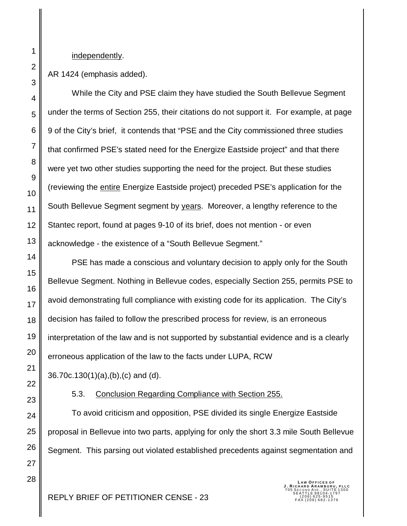independently.

AR 1424 (emphasis added).

While the City and PSE claim they have studied the South Bellevue Segment under the terms of Section 255, their citations do not support it. For example, at page 9 of the City's brief, it contends that "PSE and the City commissioned three studies that confirmed PSE's stated need for the Energize Eastside project" and that there were yet two other studies supporting the need for the project. But these studies (reviewing the entire Energize Eastside project) preceded PSE's application for the South Bellevue Segment segment by years. Moreover, a lengthy reference to the Stantec report, found at pages 9-10 of its brief, does not mention - or even acknowledge - the existence of a "South Bellevue Segment."

PSE has made a conscious and voluntary decision to apply only for the South Bellevue Segment. Nothing in Bellevue codes, especially Section 255, permits PSE to avoid demonstrating full compliance with existing code for its application. The City's decision has failed to follow the prescribed process for review, is an erroneous interpretation of the law and is not supported by substantial evidence and is a clearly erroneous application of the law to the facts under LUPA, RCW

36.70c.130(1)(a),(b),(c) and (d).

5.3. Conclusion Regarding Compliance with Section 255.

To avoid criticism and opposition, PSE divided its single Energize Eastside proposal in Bellevue into two parts, applying for only the short 3.3 mile South Bellevue Segment. This parsing out violated established precedents against segmentation and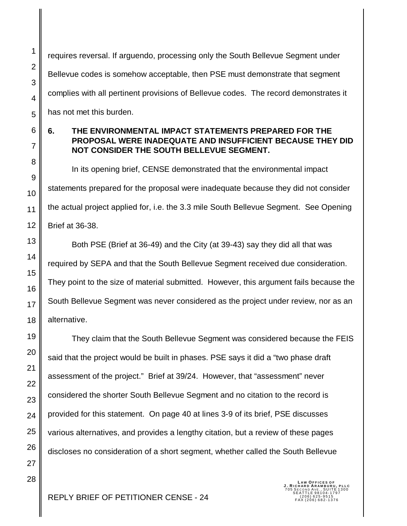requires reversal. If arguendo, processing only the South Bellevue Segment under Bellevue codes is somehow acceptable, then PSE must demonstrate that segment complies with all pertinent provisions of Bellevue codes. The record demonstrates it has not met this burden.

## **6. THE ENVIRONMENTAL IMPACT STATEMENTS PREPARED FOR THE PROPOSAL WERE INADEQUATE AND INSUFFICIENT BECAUSE THEY DID NOT CONSIDER THE SOUTH BELLEVUE SEGMENT.**

In its opening brief, CENSE demonstrated that the environmental impact statements prepared for the proposal were inadequate because they did not consider the actual project applied for, i.e. the 3.3 mile South Bellevue Segment. See Opening Brief at 36-38.

Both PSE (Brief at 36-49) and the City (at 39-43) say they did all that was required by SEPA and that the South Bellevue Segment received due consideration. They point to the size of material submitted. However, this argument fails because the South Bellevue Segment was never considered as the project under review, nor as an alternative.

They claim that the South Bellevue Segment was considered because the FEIS said that the project would be built in phases. PSE says it did a "two phase draft assessment of the project." Brief at 39/24. However, that "assessment" never considered the shorter South Bellevue Segment and no citation to the record is provided for this statement. On page 40 at lines 3-9 of its brief, PSE discusses various alternatives, and provides a lengthy citation, but a review of these pages discloses no consideration of a short segment, whether called the South Bellevue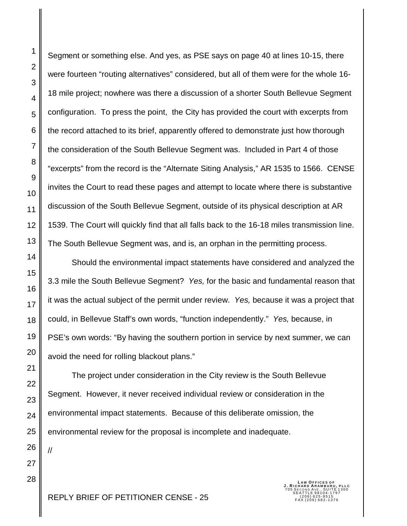Segment or something else. And yes, as PSE says on page 40 at lines 10-15, there were fourteen "routing alternatives" considered, but all of them were for the whole 16- 18 mile project; nowhere was there a discussion of a shorter South Bellevue Segment configuration. To press the point, the City has provided the court with excerpts from the record attached to its brief, apparently offered to demonstrate just how thorough the consideration of the South Bellevue Segment was. Included in Part 4 of those "excerpts" from the record is the "Alternate Siting Analysis," AR 1535 to 1566. CENSE invites the Court to read these pages and attempt to locate where there is substantive discussion of the South Bellevue Segment, outside of its physical description at AR 1539. The Court will quickly find that all falls back to the 16-18 miles transmission line. The South Bellevue Segment was, and is, an orphan in the permitting process.

Should the environmental impact statements have considered and analyzed the 3.3 mile the South Bellevue Segment? *Yes,* for the basic and fundamental reason that it was the actual subject of the permit under review. *Yes,* because it was a project that could, in Bellevue Staff's own words, "function independently." *Yes,* because, in PSE's own words: "By having the southern portion in service by next summer, we can avoid the need for rolling blackout plans."

The project under consideration in the City review is the South Bellevue Segment. However, it never received individual review or consideration in the environmental impact statements. Because of this deliberate omission, the environmental review for the proposal is incomplete and inadequate.

//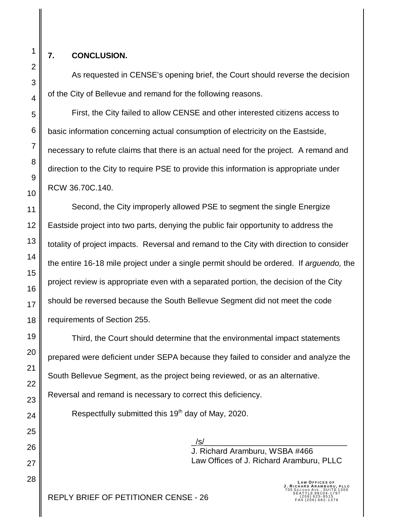#### **7. CONCLUSION.**

As requested in CENSE's opening brief, the Court should reverse the decision of the City of Bellevue and remand for the following reasons.

First, the City failed to allow CENSE and other interested citizens access to basic information concerning actual consumption of electricity on the Eastside, necessary to refute claims that there is an actual need for the project. A remand and direction to the City to require PSE to provide this information is appropriate under RCW 36.70C.140.

Second, the City improperly allowed PSE to segment the single Energize Eastside project into two parts, denying the public fair opportunity to address the totality of project impacts. Reversal and remand to the City with direction to consider the entire 16-18 mile project under a single permit should be ordered. If *arguendo,* the project review is appropriate even with a separated portion, the decision of the City should be reversed because the South Bellevue Segment did not meet the code requirements of Section 255.

Third, the Court should determine that the environmental impact statements prepared were deficient under SEPA because they failed to consider and analyze the South Bellevue Segment, as the project being reviewed, or as an alternative. Reversal and remand is necessary to correct this deficiency.

Respectfully submitted this  $19<sup>th</sup>$  day of May, 2020.

\_/s/\_\_\_\_\_\_\_\_\_\_\_\_\_\_\_\_\_\_\_\_\_\_\_\_\_\_\_\_\_\_\_\_ J. Richard Aramburu, WSBA #466 Law Offices of J. Richard Aramburu, PLLC